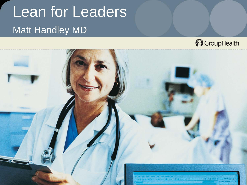# Lean for Leaders Matt Handley MD



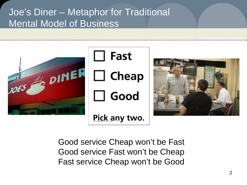Joe's Diner – Metaphor for Traditional Mental Model of Business



Good service Cheap won't be Fast Good service Fast won't be Cheap Fast service Cheap won't be Good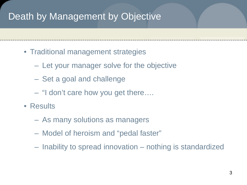### Death by Management by Objective

- Traditional management strategies
	- Let your manager solve for the objective
	- Set a goal and challenge
	- "I don't care how you get there….
- Results
	- As many solutions as managers
	- Model of heroism and "pedal faster"
	- Inability to spread innovation nothing is standardized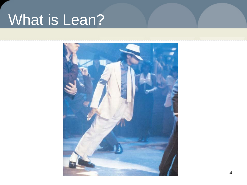# What is Lean?

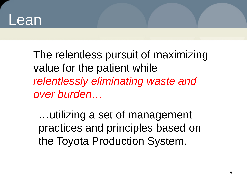## Lean

The relentless pursuit of maximizing value for the patient while *relentlessly eliminating waste and over burden…*

…utilizing a set of management practices and principles based on the Toyota Production System.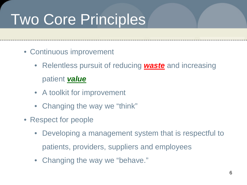# Two Core Principles

- Continuous improvement
	- Relentless pursuit of reducing *waste* and increasing patient *value*
	- A toolkit for improvement
	- Changing the way we "think"
- Respect for people
	- Developing a management system that is respectful to patients, providers, suppliers and employees
	- Changing the way we "behave."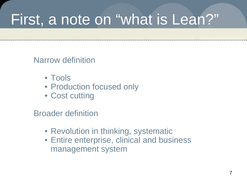# First, a note on "what is Lean?"

Narrow definition

- Tools
- Production focused only
- Cost cutting

Broader definition

- Revolution in thinking, systematic
- Entire enterprise, clinical and business management system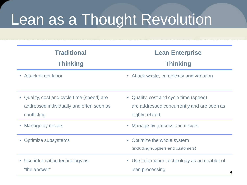# Lean as a Thought Revolution

| <b>Traditional</b><br><b>Thinking</b>                                                                            | <b>Lean Enterprise</b><br><b>Thinking</b>                                                              |  |  |  |  |  |  |  |
|------------------------------------------------------------------------------------------------------------------|--------------------------------------------------------------------------------------------------------|--|--|--|--|--|--|--|
| Attack direct labor<br>$\bullet$                                                                                 | • Attack waste, complexity and variation                                                               |  |  |  |  |  |  |  |
| Quality, cost and cycle time (speed) are<br>$\bullet$<br>addressed individually and often seen as<br>conflicting | • Quality, cost and cycle time (speed)<br>are addressed concurrently and are seen as<br>highly related |  |  |  |  |  |  |  |
| Manage by results<br>$\bullet$                                                                                   | Manage by process and results<br>$\bullet$                                                             |  |  |  |  |  |  |  |
| Optimize subsystems                                                                                              | • Optimize the whole system<br>(including suppliers and customers)                                     |  |  |  |  |  |  |  |
| • Use information technology as<br>"the answer"                                                                  | • Use information technology as an enabler of<br>lean processing<br>8                                  |  |  |  |  |  |  |  |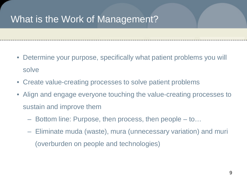### What is the Work of Management?

- Determine your purpose, specifically what patient problems you will solve
- Create value-creating processes to solve patient problems
- Align and engage everyone touching the value-creating processes to sustain and improve them
	- Bottom line: Purpose, then process, then people to…
	- Eliminate muda (waste), mura (unnecessary variation) and muri (overburden on people and technologies)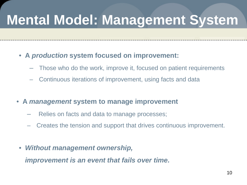## **Mental Model: Management System**

- **A** *production* **system focused on improvement:**
	- Those who do the work, improve it, focused on patient requirements
	- Continuous iterations of improvement, using facts and data
- **A** *management* **system to manage improvement**
	- Relies on facts and data to manage processes;
	- Creates the tension and support that drives continuous improvement.
	- *Without management ownership,*

*improvement is an event that fails over time.*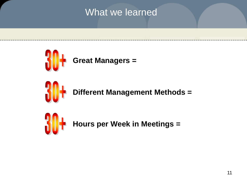### What we learned



**Different Management Methods =**

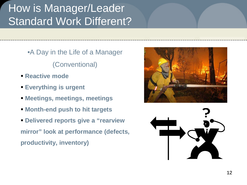## How is Manager/Leader Standard Work Different?

•A Day in the Life of a Manager

(Conventional)

- **Reactive mode**
- **Everything is urgent**
- **Meetings, meetings, meetings**
- **Month-end push to hit targets**
- **Delivered reports give a "rearview mirror" look at performance (defects, productivity, inventory)**



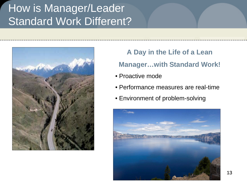## How is Manager/Leader Standard Work Different?



### **A Day in the Life of a Lean Manager…with Standard Work!**

- Proactive mode
- Performance measures are real-time
- Environment of problem-solving

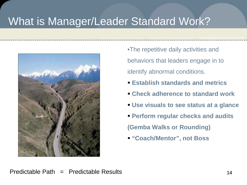### What is Manager/Leader Standard Work?



•The repetitive daily activities and behaviors that leaders engage in to identify abnormal conditions.

- **Establish standards and metrics**
- **Check adherence to standard work**
- **Use visuals to see status at a glance**
- **Perform regular checks and audits (Gemba Walks or Rounding)**
- **"Coach/Mentor", not Boss**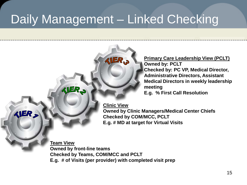## Daily Management – Linked Checking



**Primary Care Leadership View (PCLT) Owned by: PCLT Checked by: PC VP, Medical Director, Administrative Directors, Assistant Medical Directors in weekly leadership meeting E.g. % First Call Resolution**

**Owned by Clinic Managers/Medical Center Chiefs Checked by COM/MCC, PCLT E.g. # MD at target for Virtual Visits**

**Team View Owned by front-line teams Checked by Teams, COM/MCC and PCLT E.g. # of Visits (per provider) with completed visit prep**

VER\_S

**KIER,**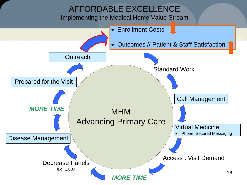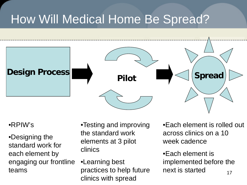## How Will Medical Home Be Spread?



### •RPIW's

•Designing the standard work for each element by engaging our frontline teams

•Testing and improving the standard work elements at 3 pilot clinics

•Learning best practices to help future clinics with spread

•Each element is rolled out across clinics on a 10 week cadence

17 •Each element is implemented before the next is started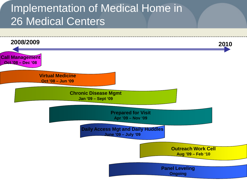### Implementation of Medical Home in 26 Medical Centers

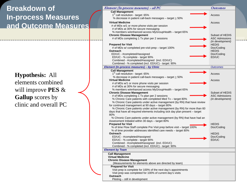### **Breakdown of In-process Measures and Outcome Measures**

**Hypothesis:** All elements combined will improve **PES** & **Gallup** scores by clinic and overall PC

| <b>Call Management</b><br>1 <sup>st</sup> call resolution - target: 65%<br>Access<br>% decrease in patient call-back messages - target > 50%<br><b>Virtual Medicine</b><br>Access<br># of MDs w/1 or more phone visits per session<br># of MDs at 30% for secure messaging<br>% members w/enhanced access MyGroupHealth - target 65%<br><b>Chronic Disease Management</b><br>Subset of HEDIS<br># of MDs completing 1 Tx plan per 2 sessions<br><b>ASC Admissions</b><br>(in development)<br><b>Prepared for Visit</b><br><b>HEDIS</b><br># of MDs w/ completed pre-visit prep – target 100%<br>Doc/Coding<br>Outreach<br><b>HEDIS</b><br>ED/UC - #completed/#assigned<br>Doc/Coding<br>ED/UC - % complete - target 90%<br>ED/UC<br>Combined - #completed/#assigned (incl. ED/UC)<br>Combined - % completed (incl. ED/UC) - target: 90%<br>Element (In-process measures) - by Clinic<br><b>Outcomes</b><br><b>Call Management</b><br>1 <sup>st</sup> call resolution - target: 65%<br>Access<br>% decrease in patient call-back messages - target > 50%<br><b>Virtual Medicine</b><br>Access<br># of MDs w/1 or more phone visits per session<br># of MDs at 30% for secure messaging<br>% members w/enhanced access MyGroupHealth - target 65%<br><b>Chronic Disease Management</b><br>Subset of HEDIS<br># of MDs completing 1 Tx plan per 2 sessions<br><b>ASC Admissions</b><br>% Chronic Care patients with completed Med Tx - target 80%<br>(in development)<br>% Chronic Care patients under active management (by RN) that have review<br>for continued management at 90 days - target 80%<br>% Chronic Care patients under active management (by RN) for more than 60<br>days that have all required elements including sick day plan present – target<br>80%<br>% Chronic Care patients under active management (by RN) that have had an<br>Assessment Initiated within 30 days - target 80%<br><b>Prepared for Visit</b><br><b>HEDIS</b><br>% of time Flow Staff complete Pre Visit prep before visit – target 100%<br>Doc/Coding<br>% of time provider addresses identified care needs - target 80%<br><b>Outreach</b><br><b>HEDIS</b><br>ED/UC - #completed/#assigned<br>Doc/Coding<br>ED/UC - % complete - target 90%<br>ED/UC<br>Combined - #completed/#assigned (incl. ED/UC)<br>Combined - % completed (incl. ED/UC) - target: 90%<br><b>Element by Team</b><br><b>Call Management</b><br><b>Virtual Medicine</b><br><b>Chronic Disease Management</b><br>(Measurements for elements above are directed by team)<br><b>Prepared for Visit</b><br>Visit prep is complete for 100% of the next day's appointments<br>Visit prep was completed for 100% of current day's visits | Element (In-process measures) - all PC | Outcomes |
|-----------------------------------------------------------------------------------------------------------------------------------------------------------------------------------------------------------------------------------------------------------------------------------------------------------------------------------------------------------------------------------------------------------------------------------------------------------------------------------------------------------------------------------------------------------------------------------------------------------------------------------------------------------------------------------------------------------------------------------------------------------------------------------------------------------------------------------------------------------------------------------------------------------------------------------------------------------------------------------------------------------------------------------------------------------------------------------------------------------------------------------------------------------------------------------------------------------------------------------------------------------------------------------------------------------------------------------------------------------------------------------------------------------------------------------------------------------------------------------------------------------------------------------------------------------------------------------------------------------------------------------------------------------------------------------------------------------------------------------------------------------------------------------------------------------------------------------------------------------------------------------------------------------------------------------------------------------------------------------------------------------------------------------------------------------------------------------------------------------------------------------------------------------------------------------------------------------------------------------------------------------------------------------------------------------------------------------------------------------------------------------------------------------------------------------------------------------------------------------------------------------------------------------------------------------------------------------------------------------------------------------------------------------------------------------------------|----------------------------------------|----------|
|                                                                                                                                                                                                                                                                                                                                                                                                                                                                                                                                                                                                                                                                                                                                                                                                                                                                                                                                                                                                                                                                                                                                                                                                                                                                                                                                                                                                                                                                                                                                                                                                                                                                                                                                                                                                                                                                                                                                                                                                                                                                                                                                                                                                                                                                                                                                                                                                                                                                                                                                                                                                                                                                                               |                                        |          |
|                                                                                                                                                                                                                                                                                                                                                                                                                                                                                                                                                                                                                                                                                                                                                                                                                                                                                                                                                                                                                                                                                                                                                                                                                                                                                                                                                                                                                                                                                                                                                                                                                                                                                                                                                                                                                                                                                                                                                                                                                                                                                                                                                                                                                                                                                                                                                                                                                                                                                                                                                                                                                                                                                               |                                        |          |
|                                                                                                                                                                                                                                                                                                                                                                                                                                                                                                                                                                                                                                                                                                                                                                                                                                                                                                                                                                                                                                                                                                                                                                                                                                                                                                                                                                                                                                                                                                                                                                                                                                                                                                                                                                                                                                                                                                                                                                                                                                                                                                                                                                                                                                                                                                                                                                                                                                                                                                                                                                                                                                                                                               |                                        |          |
|                                                                                                                                                                                                                                                                                                                                                                                                                                                                                                                                                                                                                                                                                                                                                                                                                                                                                                                                                                                                                                                                                                                                                                                                                                                                                                                                                                                                                                                                                                                                                                                                                                                                                                                                                                                                                                                                                                                                                                                                                                                                                                                                                                                                                                                                                                                                                                                                                                                                                                                                                                                                                                                                                               |                                        |          |
|                                                                                                                                                                                                                                                                                                                                                                                                                                                                                                                                                                                                                                                                                                                                                                                                                                                                                                                                                                                                                                                                                                                                                                                                                                                                                                                                                                                                                                                                                                                                                                                                                                                                                                                                                                                                                                                                                                                                                                                                                                                                                                                                                                                                                                                                                                                                                                                                                                                                                                                                                                                                                                                                                               |                                        |          |
|                                                                                                                                                                                                                                                                                                                                                                                                                                                                                                                                                                                                                                                                                                                                                                                                                                                                                                                                                                                                                                                                                                                                                                                                                                                                                                                                                                                                                                                                                                                                                                                                                                                                                                                                                                                                                                                                                                                                                                                                                                                                                                                                                                                                                                                                                                                                                                                                                                                                                                                                                                                                                                                                                               |                                        |          |
|                                                                                                                                                                                                                                                                                                                                                                                                                                                                                                                                                                                                                                                                                                                                                                                                                                                                                                                                                                                                                                                                                                                                                                                                                                                                                                                                                                                                                                                                                                                                                                                                                                                                                                                                                                                                                                                                                                                                                                                                                                                                                                                                                                                                                                                                                                                                                                                                                                                                                                                                                                                                                                                                                               |                                        |          |
|                                                                                                                                                                                                                                                                                                                                                                                                                                                                                                                                                                                                                                                                                                                                                                                                                                                                                                                                                                                                                                                                                                                                                                                                                                                                                                                                                                                                                                                                                                                                                                                                                                                                                                                                                                                                                                                                                                                                                                                                                                                                                                                                                                                                                                                                                                                                                                                                                                                                                                                                                                                                                                                                                               |                                        |          |
|                                                                                                                                                                                                                                                                                                                                                                                                                                                                                                                                                                                                                                                                                                                                                                                                                                                                                                                                                                                                                                                                                                                                                                                                                                                                                                                                                                                                                                                                                                                                                                                                                                                                                                                                                                                                                                                                                                                                                                                                                                                                                                                                                                                                                                                                                                                                                                                                                                                                                                                                                                                                                                                                                               |                                        |          |
|                                                                                                                                                                                                                                                                                                                                                                                                                                                                                                                                                                                                                                                                                                                                                                                                                                                                                                                                                                                                                                                                                                                                                                                                                                                                                                                                                                                                                                                                                                                                                                                                                                                                                                                                                                                                                                                                                                                                                                                                                                                                                                                                                                                                                                                                                                                                                                                                                                                                                                                                                                                                                                                                                               |                                        |          |
|                                                                                                                                                                                                                                                                                                                                                                                                                                                                                                                                                                                                                                                                                                                                                                                                                                                                                                                                                                                                                                                                                                                                                                                                                                                                                                                                                                                                                                                                                                                                                                                                                                                                                                                                                                                                                                                                                                                                                                                                                                                                                                                                                                                                                                                                                                                                                                                                                                                                                                                                                                                                                                                                                               |                                        |          |
|                                                                                                                                                                                                                                                                                                                                                                                                                                                                                                                                                                                                                                                                                                                                                                                                                                                                                                                                                                                                                                                                                                                                                                                                                                                                                                                                                                                                                                                                                                                                                                                                                                                                                                                                                                                                                                                                                                                                                                                                                                                                                                                                                                                                                                                                                                                                                                                                                                                                                                                                                                                                                                                                                               |                                        |          |
|                                                                                                                                                                                                                                                                                                                                                                                                                                                                                                                                                                                                                                                                                                                                                                                                                                                                                                                                                                                                                                                                                                                                                                                                                                                                                                                                                                                                                                                                                                                                                                                                                                                                                                                                                                                                                                                                                                                                                                                                                                                                                                                                                                                                                                                                                                                                                                                                                                                                                                                                                                                                                                                                                               |                                        |          |
|                                                                                                                                                                                                                                                                                                                                                                                                                                                                                                                                                                                                                                                                                                                                                                                                                                                                                                                                                                                                                                                                                                                                                                                                                                                                                                                                                                                                                                                                                                                                                                                                                                                                                                                                                                                                                                                                                                                                                                                                                                                                                                                                                                                                                                                                                                                                                                                                                                                                                                                                                                                                                                                                                               |                                        |          |
|                                                                                                                                                                                                                                                                                                                                                                                                                                                                                                                                                                                                                                                                                                                                                                                                                                                                                                                                                                                                                                                                                                                                                                                                                                                                                                                                                                                                                                                                                                                                                                                                                                                                                                                                                                                                                                                                                                                                                                                                                                                                                                                                                                                                                                                                                                                                                                                                                                                                                                                                                                                                                                                                                               |                                        |          |
|                                                                                                                                                                                                                                                                                                                                                                                                                                                                                                                                                                                                                                                                                                                                                                                                                                                                                                                                                                                                                                                                                                                                                                                                                                                                                                                                                                                                                                                                                                                                                                                                                                                                                                                                                                                                                                                                                                                                                                                                                                                                                                                                                                                                                                                                                                                                                                                                                                                                                                                                                                                                                                                                                               |                                        |          |
|                                                                                                                                                                                                                                                                                                                                                                                                                                                                                                                                                                                                                                                                                                                                                                                                                                                                                                                                                                                                                                                                                                                                                                                                                                                                                                                                                                                                                                                                                                                                                                                                                                                                                                                                                                                                                                                                                                                                                                                                                                                                                                                                                                                                                                                                                                                                                                                                                                                                                                                                                                                                                                                                                               |                                        |          |
|                                                                                                                                                                                                                                                                                                                                                                                                                                                                                                                                                                                                                                                                                                                                                                                                                                                                                                                                                                                                                                                                                                                                                                                                                                                                                                                                                                                                                                                                                                                                                                                                                                                                                                                                                                                                                                                                                                                                                                                                                                                                                                                                                                                                                                                                                                                                                                                                                                                                                                                                                                                                                                                                                               |                                        |          |
|                                                                                                                                                                                                                                                                                                                                                                                                                                                                                                                                                                                                                                                                                                                                                                                                                                                                                                                                                                                                                                                                                                                                                                                                                                                                                                                                                                                                                                                                                                                                                                                                                                                                                                                                                                                                                                                                                                                                                                                                                                                                                                                                                                                                                                                                                                                                                                                                                                                                                                                                                                                                                                                                                               |                                        |          |
|                                                                                                                                                                                                                                                                                                                                                                                                                                                                                                                                                                                                                                                                                                                                                                                                                                                                                                                                                                                                                                                                                                                                                                                                                                                                                                                                                                                                                                                                                                                                                                                                                                                                                                                                                                                                                                                                                                                                                                                                                                                                                                                                                                                                                                                                                                                                                                                                                                                                                                                                                                                                                                                                                               |                                        |          |
|                                                                                                                                                                                                                                                                                                                                                                                                                                                                                                                                                                                                                                                                                                                                                                                                                                                                                                                                                                                                                                                                                                                                                                                                                                                                                                                                                                                                                                                                                                                                                                                                                                                                                                                                                                                                                                                                                                                                                                                                                                                                                                                                                                                                                                                                                                                                                                                                                                                                                                                                                                                                                                                                                               |                                        |          |
|                                                                                                                                                                                                                                                                                                                                                                                                                                                                                                                                                                                                                                                                                                                                                                                                                                                                                                                                                                                                                                                                                                                                                                                                                                                                                                                                                                                                                                                                                                                                                                                                                                                                                                                                                                                                                                                                                                                                                                                                                                                                                                                                                                                                                                                                                                                                                                                                                                                                                                                                                                                                                                                                                               |                                        |          |
|                                                                                                                                                                                                                                                                                                                                                                                                                                                                                                                                                                                                                                                                                                                                                                                                                                                                                                                                                                                                                                                                                                                                                                                                                                                                                                                                                                                                                                                                                                                                                                                                                                                                                                                                                                                                                                                                                                                                                                                                                                                                                                                                                                                                                                                                                                                                                                                                                                                                                                                                                                                                                                                                                               |                                        |          |
|                                                                                                                                                                                                                                                                                                                                                                                                                                                                                                                                                                                                                                                                                                                                                                                                                                                                                                                                                                                                                                                                                                                                                                                                                                                                                                                                                                                                                                                                                                                                                                                                                                                                                                                                                                                                                                                                                                                                                                                                                                                                                                                                                                                                                                                                                                                                                                                                                                                                                                                                                                                                                                                                                               |                                        |          |
|                                                                                                                                                                                                                                                                                                                                                                                                                                                                                                                                                                                                                                                                                                                                                                                                                                                                                                                                                                                                                                                                                                                                                                                                                                                                                                                                                                                                                                                                                                                                                                                                                                                                                                                                                                                                                                                                                                                                                                                                                                                                                                                                                                                                                                                                                                                                                                                                                                                                                                                                                                                                                                                                                               |                                        |          |
|                                                                                                                                                                                                                                                                                                                                                                                                                                                                                                                                                                                                                                                                                                                                                                                                                                                                                                                                                                                                                                                                                                                                                                                                                                                                                                                                                                                                                                                                                                                                                                                                                                                                                                                                                                                                                                                                                                                                                                                                                                                                                                                                                                                                                                                                                                                                                                                                                                                                                                                                                                                                                                                                                               |                                        |          |
|                                                                                                                                                                                                                                                                                                                                                                                                                                                                                                                                                                                                                                                                                                                                                                                                                                                                                                                                                                                                                                                                                                                                                                                                                                                                                                                                                                                                                                                                                                                                                                                                                                                                                                                                                                                                                                                                                                                                                                                                                                                                                                                                                                                                                                                                                                                                                                                                                                                                                                                                                                                                                                                                                               |                                        |          |
|                                                                                                                                                                                                                                                                                                                                                                                                                                                                                                                                                                                                                                                                                                                                                                                                                                                                                                                                                                                                                                                                                                                                                                                                                                                                                                                                                                                                                                                                                                                                                                                                                                                                                                                                                                                                                                                                                                                                                                                                                                                                                                                                                                                                                                                                                                                                                                                                                                                                                                                                                                                                                                                                                               |                                        |          |
|                                                                                                                                                                                                                                                                                                                                                                                                                                                                                                                                                                                                                                                                                                                                                                                                                                                                                                                                                                                                                                                                                                                                                                                                                                                                                                                                                                                                                                                                                                                                                                                                                                                                                                                                                                                                                                                                                                                                                                                                                                                                                                                                                                                                                                                                                                                                                                                                                                                                                                                                                                                                                                                                                               |                                        |          |
|                                                                                                                                                                                                                                                                                                                                                                                                                                                                                                                                                                                                                                                                                                                                                                                                                                                                                                                                                                                                                                                                                                                                                                                                                                                                                                                                                                                                                                                                                                                                                                                                                                                                                                                                                                                                                                                                                                                                                                                                                                                                                                                                                                                                                                                                                                                                                                                                                                                                                                                                                                                                                                                                                               |                                        |          |
|                                                                                                                                                                                                                                                                                                                                                                                                                                                                                                                                                                                                                                                                                                                                                                                                                                                                                                                                                                                                                                                                                                                                                                                                                                                                                                                                                                                                                                                                                                                                                                                                                                                                                                                                                                                                                                                                                                                                                                                                                                                                                                                                                                                                                                                                                                                                                                                                                                                                                                                                                                                                                                                                                               |                                        |          |
|                                                                                                                                                                                                                                                                                                                                                                                                                                                                                                                                                                                                                                                                                                                                                                                                                                                                                                                                                                                                                                                                                                                                                                                                                                                                                                                                                                                                                                                                                                                                                                                                                                                                                                                                                                                                                                                                                                                                                                                                                                                                                                                                                                                                                                                                                                                                                                                                                                                                                                                                                                                                                                                                                               |                                        |          |
|                                                                                                                                                                                                                                                                                                                                                                                                                                                                                                                                                                                                                                                                                                                                                                                                                                                                                                                                                                                                                                                                                                                                                                                                                                                                                                                                                                                                                                                                                                                                                                                                                                                                                                                                                                                                                                                                                                                                                                                                                                                                                                                                                                                                                                                                                                                                                                                                                                                                                                                                                                                                                                                                                               |                                        |          |
|                                                                                                                                                                                                                                                                                                                                                                                                                                                                                                                                                                                                                                                                                                                                                                                                                                                                                                                                                                                                                                                                                                                                                                                                                                                                                                                                                                                                                                                                                                                                                                                                                                                                                                                                                                                                                                                                                                                                                                                                                                                                                                                                                                                                                                                                                                                                                                                                                                                                                                                                                                                                                                                                                               |                                        |          |
|                                                                                                                                                                                                                                                                                                                                                                                                                                                                                                                                                                                                                                                                                                                                                                                                                                                                                                                                                                                                                                                                                                                                                                                                                                                                                                                                                                                                                                                                                                                                                                                                                                                                                                                                                                                                                                                                                                                                                                                                                                                                                                                                                                                                                                                                                                                                                                                                                                                                                                                                                                                                                                                                                               |                                        |          |
|                                                                                                                                                                                                                                                                                                                                                                                                                                                                                                                                                                                                                                                                                                                                                                                                                                                                                                                                                                                                                                                                                                                                                                                                                                                                                                                                                                                                                                                                                                                                                                                                                                                                                                                                                                                                                                                                                                                                                                                                                                                                                                                                                                                                                                                                                                                                                                                                                                                                                                                                                                                                                                                                                               |                                        |          |
|                                                                                                                                                                                                                                                                                                                                                                                                                                                                                                                                                                                                                                                                                                                                                                                                                                                                                                                                                                                                                                                                                                                                                                                                                                                                                                                                                                                                                                                                                                                                                                                                                                                                                                                                                                                                                                                                                                                                                                                                                                                                                                                                                                                                                                                                                                                                                                                                                                                                                                                                                                                                                                                                                               |                                        |          |
|                                                                                                                                                                                                                                                                                                                                                                                                                                                                                                                                                                                                                                                                                                                                                                                                                                                                                                                                                                                                                                                                                                                                                                                                                                                                                                                                                                                                                                                                                                                                                                                                                                                                                                                                                                                                                                                                                                                                                                                                                                                                                                                                                                                                                                                                                                                                                                                                                                                                                                                                                                                                                                                                                               |                                        |          |
|                                                                                                                                                                                                                                                                                                                                                                                                                                                                                                                                                                                                                                                                                                                                                                                                                                                                                                                                                                                                                                                                                                                                                                                                                                                                                                                                                                                                                                                                                                                                                                                                                                                                                                                                                                                                                                                                                                                                                                                                                                                                                                                                                                                                                                                                                                                                                                                                                                                                                                                                                                                                                                                                                               |                                        |          |
|                                                                                                                                                                                                                                                                                                                                                                                                                                                                                                                                                                                                                                                                                                                                                                                                                                                                                                                                                                                                                                                                                                                                                                                                                                                                                                                                                                                                                                                                                                                                                                                                                                                                                                                                                                                                                                                                                                                                                                                                                                                                                                                                                                                                                                                                                                                                                                                                                                                                                                                                                                                                                                                                                               |                                        |          |
|                                                                                                                                                                                                                                                                                                                                                                                                                                                                                                                                                                                                                                                                                                                                                                                                                                                                                                                                                                                                                                                                                                                                                                                                                                                                                                                                                                                                                                                                                                                                                                                                                                                                                                                                                                                                                                                                                                                                                                                                                                                                                                                                                                                                                                                                                                                                                                                                                                                                                                                                                                                                                                                                                               |                                        |          |
|                                                                                                                                                                                                                                                                                                                                                                                                                                                                                                                                                                                                                                                                                                                                                                                                                                                                                                                                                                                                                                                                                                                                                                                                                                                                                                                                                                                                                                                                                                                                                                                                                                                                                                                                                                                                                                                                                                                                                                                                                                                                                                                                                                                                                                                                                                                                                                                                                                                                                                                                                                                                                                                                                               |                                        |          |
|                                                                                                                                                                                                                                                                                                                                                                                                                                                                                                                                                                                                                                                                                                                                                                                                                                                                                                                                                                                                                                                                                                                                                                                                                                                                                                                                                                                                                                                                                                                                                                                                                                                                                                                                                                                                                                                                                                                                                                                                                                                                                                                                                                                                                                                                                                                                                                                                                                                                                                                                                                                                                                                                                               |                                        |          |
|                                                                                                                                                                                                                                                                                                                                                                                                                                                                                                                                                                                                                                                                                                                                                                                                                                                                                                                                                                                                                                                                                                                                                                                                                                                                                                                                                                                                                                                                                                                                                                                                                                                                                                                                                                                                                                                                                                                                                                                                                                                                                                                                                                                                                                                                                                                                                                                                                                                                                                                                                                                                                                                                                               |                                        |          |
|                                                                                                                                                                                                                                                                                                                                                                                                                                                                                                                                                                                                                                                                                                                                                                                                                                                                                                                                                                                                                                                                                                                                                                                                                                                                                                                                                                                                                                                                                                                                                                                                                                                                                                                                                                                                                                                                                                                                                                                                                                                                                                                                                                                                                                                                                                                                                                                                                                                                                                                                                                                                                                                                                               |                                        |          |
|                                                                                                                                                                                                                                                                                                                                                                                                                                                                                                                                                                                                                                                                                                                                                                                                                                                                                                                                                                                                                                                                                                                                                                                                                                                                                                                                                                                                                                                                                                                                                                                                                                                                                                                                                                                                                                                                                                                                                                                                                                                                                                                                                                                                                                                                                                                                                                                                                                                                                                                                                                                                                                                                                               |                                        |          |
|                                                                                                                                                                                                                                                                                                                                                                                                                                                                                                                                                                                                                                                                                                                                                                                                                                                                                                                                                                                                                                                                                                                                                                                                                                                                                                                                                                                                                                                                                                                                                                                                                                                                                                                                                                                                                                                                                                                                                                                                                                                                                                                                                                                                                                                                                                                                                                                                                                                                                                                                                                                                                                                                                               |                                        |          |
| Outreach                                                                                                                                                                                                                                                                                                                                                                                                                                                                                                                                                                                                                                                                                                                                                                                                                                                                                                                                                                                                                                                                                                                                                                                                                                                                                                                                                                                                                                                                                                                                                                                                                                                                                                                                                                                                                                                                                                                                                                                                                                                                                                                                                                                                                                                                                                                                                                                                                                                                                                                                                                                                                                                                                      |                                        |          |
| Piloting – still in development                                                                                                                                                                                                                                                                                                                                                                                                                                                                                                                                                                                                                                                                                                                                                                                                                                                                                                                                                                                                                                                                                                                                                                                                                                                                                                                                                                                                                                                                                                                                                                                                                                                                                                                                                                                                                                                                                                                                                                                                                                                                                                                                                                                                                                                                                                                                                                                                                                                                                                                                                                                                                                                               |                                        |          |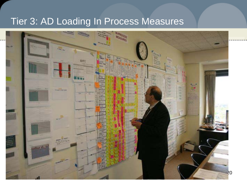### Tier 3: AD Loading In Process Measures

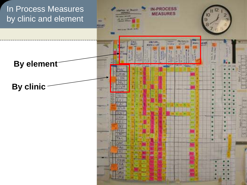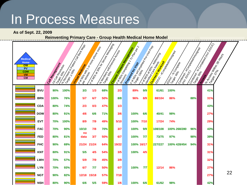## In Process Measures

**As of Sept. 22, 2009**

#### **Reinventing Primary Care - Group Health Medical Home Model**

| Medical<br>Home<br><b>OW</b><br>PV<br><b>CDM</b><br><b>VM</b><br>CM | Call Magazine Reply | Is done age to the Main Cay Back Mags<br>1 <sub>5tr Call Resources</sub> |            | <b>I KONSULSKING TO PROPERTY ASSESS</b> | IK or Mos at 30% for decay of Message<br><b>IS MONTEON ROUGERS</b> | Chipping Coise Management | I said Manuscript Reader of Reader Read<br><b>Listing Completing The Complete Property of the Complete Property of the Complete Property of the Complete Property of the Complete Property of the Complete Property of the Complete Property of the Complete Property of th</b> |      | <b>IR MOSS A BORS CONSTRUCTION ROSSILING</b><br>Ourresort Marican | <b>LOUCE HE CONDUCTS HARDWAREN</b><br><b>EDUC-36 Complete</b> | Comprison of the Company of Management | Comings & Gonger Kings EDUCI | I. A Coses Villagement of Maries |
|---------------------------------------------------------------------|---------------------|--------------------------------------------------------------------------|------------|-----------------------------------------|--------------------------------------------------------------------|---------------------------|---------------------------------------------------------------------------------------------------------------------------------------------------------------------------------------------------------------------------------------------------------------------------------|------|-------------------------------------------------------------------|---------------------------------------------------------------|----------------------------------------|------------------------------|----------------------------------|
| <b>BVU</b>                                                          | 90%                 | 100%                                                                     | 3/3        | 1/3                                     | 68%                                                                | 2/3                       | 89%                                                                                                                                                                                                                                                                             | 9/9  | 61/61                                                             | 100%                                                          |                                        | 41%                          |                                  |
| <b>BRN</b>                                                          | 100%                | 76%                                                                      | 5/7        | 6/7                                     | 50%                                                                | 8/8                       | 96%                                                                                                                                                                                                                                                                             | 8/9  | 88/104                                                            | 86%                                                           | 88%                                    | 31%                          |                                  |
| <b>CDA</b>                                                          | 80%                 | 74%                                                                      | 2/3        | 0/3                                     | 47%                                                                | 1/3                       |                                                                                                                                                                                                                                                                                 |      |                                                                   |                                                               |                                        | 43%                          |                                  |
| <b>DOW</b>                                                          | 80%                 | 91%                                                                      | 4/6        | 6/6                                     | 71%                                                                | 3/6                       | 100%                                                                                                                                                                                                                                                                            | 6/6  | 40/41                                                             | 98%                                                           |                                        | 27%                          |                                  |
| <b>EVT</b>                                                          | 70%                 | 100%                                                                     | 8/9        | 7/9                                     | 49%                                                                | 5/10                      | 100%                                                                                                                                                                                                                                                                            | 7/10 | 17/24                                                             | 74%                                                           |                                        | 29%                          |                                  |
| <b>FAC</b>                                                          | 70%                 | 90%                                                                      | 10/10      | 7/8                                     | 70%                                                                | 3/7                       | 100%                                                                                                                                                                                                                                                                            | 9/9  | 108/108                                                           | 100% 268/280                                                  | 96%                                    | 43%                          |                                  |
| <b>FED</b>                                                          | 80%                 | 81%                                                                      | no<br>data | 3/7                                     | 50%                                                                | 6/7                       | 100%                                                                                                                                                                                                                                                                            | 7/7  | 73/75                                                             | 97%                                                           | 98%                                    | 39%                          |                                  |
| <b>FHC</b>                                                          | 90%                 | 69%                                                                      | 21/24      | 21/24                                   | 64%                                                                | 19/22                     | 100% 16/17                                                                                                                                                                                                                                                                      |      | 227/227                                                           | 100% 428/454                                                  | 94%                                    | 31%                          |                                  |
| <b>KNT</b>                                                          | 80%                 | 91%                                                                      | 5/5        | 4/5                                     | 54%                                                                | 3/5                       | 100%                                                                                                                                                                                                                                                                            | 4/5  |                                                                   |                                                               |                                        | 31%                          |                                  |
| LWH                                                                 | 70%                 | 57%                                                                      | 5/9        | 7/9                                     | 45%                                                                | 3/9                       |                                                                                                                                                                                                                                                                                 |      |                                                                   |                                                               |                                        | 32%                          |                                  |
| <b>LYN</b>                                                          | 70%                 | 93%                                                                      | 6/7        | 7/7                                     | 50%                                                                | 6/7                       | 100%                                                                                                                                                                                                                                                                            | 7/7  | 12/14                                                             | 86%                                                           |                                        | 27%                          |                                  |
| <b>NGT</b>                                                          | 90%                 | 82%                                                                      | 12/18      | 15/18                                   | 57%                                                                | 7/18                      |                                                                                                                                                                                                                                                                                 |      |                                                                   |                                                               |                                        | 27%                          | 22                               |
| <b>NSH</b>                                                          | 80%                 | 90%                                                                      | 6/6        | 5/5                                     | 59%                                                                | 1/6                       | 100%                                                                                                                                                                                                                                                                            | 6/6  | 61/62                                                             | 98%                                                           |                                        | 42%                          |                                  |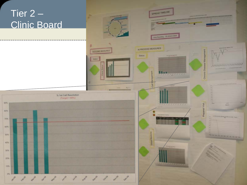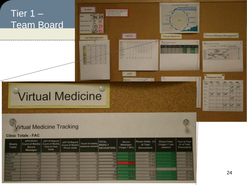### Tier 1 – Team Board

# Virtual Medicine

#### **Virtual Medicine Tracking**

#### **Clinic Totals - FAC**

| Weekly<br>Totals: | (ePortfolio)<br>Count of Weekly   Count of Weekly<br>Secure.<br>Messages | (APT18 Report)<br>Face to Pace<br>Visits: | CAPItal Report) Count of weekly?<br>Count of Warkly<br><b>Phone Visite</b> | amatons worked | TOTAL<br><b>WEEKLY</b><br><b>ENCOUNTERS</b> | Secure.<br><b>Massages:</b><br>$(Targat = 30\%).$ | Phone Visits:<br>of Total<br>Encounters) | Phone Visits:<br>(Target = 1 per<br>seesiant) | <b>Face to Face</b><br>(% of Total)<br>Encounters) |  |
|-------------------|--------------------------------------------------------------------------|-------------------------------------------|----------------------------------------------------------------------------|----------------|---------------------------------------------|---------------------------------------------------|------------------------------------------|-----------------------------------------------|----------------------------------------------------|--|
| <b>TABLE</b>      |                                                                          |                                           |                                                                            |                |                                             | тш                                                | ET BA                                    |                                               |                                                    |  |
|                   |                                                                          |                                           |                                                                            |                |                                             | П¥                                                | <b>BALLY</b>                             |                                               |                                                    |  |
|                   |                                                                          |                                           |                                                                            |                |                                             | 口名                                                | <b>ITTA</b>                              |                                               |                                                    |  |
| <b>STATISTICS</b> |                                                                          |                                           |                                                                            |                | пu                                          |                                                   |                                          |                                               |                                                    |  |
|                   |                                                                          |                                           |                                                                            |                |                                             | <b>CIEL</b>                                       | $\mathbf{r}$                             |                                               |                                                    |  |
|                   |                                                                          |                                           |                                                                            |                |                                             |                                                   |                                          |                                               |                                                    |  |
|                   |                                                                          |                                           |                                                                            |                |                                             | 13                                                | 1,850                                    |                                               |                                                    |  |
|                   |                                                                          |                                           |                                                                            |                |                                             | .                                                 | <b>MARK</b>                              |                                               |                                                    |  |
|                   |                                                                          |                                           |                                                                            |                |                                             | <b>COLOR</b>                                      | <b>B</b> 25                              |                                               |                                                    |  |

**Access** 

**Call Management** 

HEDIS -

**AVS** 

2332223233

**Virtual Medicine** 

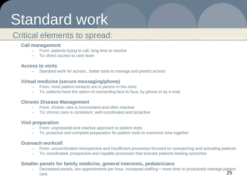# Standard work

### Critical elements to spread:

#### **Call management**

- From: patients trying to call, long time to resolve
- To: direct access to care team

#### **Access to visits**

– Standard work for access , better tools to manage and predict access

#### **Virtual medicine (secure messaging/phone)**

- From: most patient contacts are in person in the clinic
- To: patients have the option of connecting face to face, by phone or by e-mail.

#### **Chronic Disease Management**

- From: chronic care is inconsistent and often reactive
- To: chronic care is consistent, well coordinated and proactive

#### **Visit preparation**

- From: unprepared and reactive approach to patient visits
- To: proactive and complete preparation for patient visits to maximize time together

#### **Outreach workcell**

- From: uncoordinated retrospective and insufficient processes focused on outreaching and activating patients
- To: coordinated, prospective and capable processes that activate patients leading outcomes

#### **Smaller panels for family medicine, general internists, pediatricians**

25 – Decreased panels, two appointments per hour, increased staffing = more time to proactively manage patient care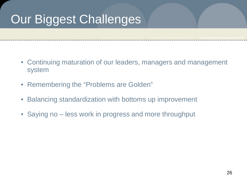## Our Biggest Challenges

- Continuing maturation of our leaders, managers and management system
- Remembering the "Problems are Golden"
- Balancing standardization with bottoms up improvement
- Saying no less work in progress and more throughput